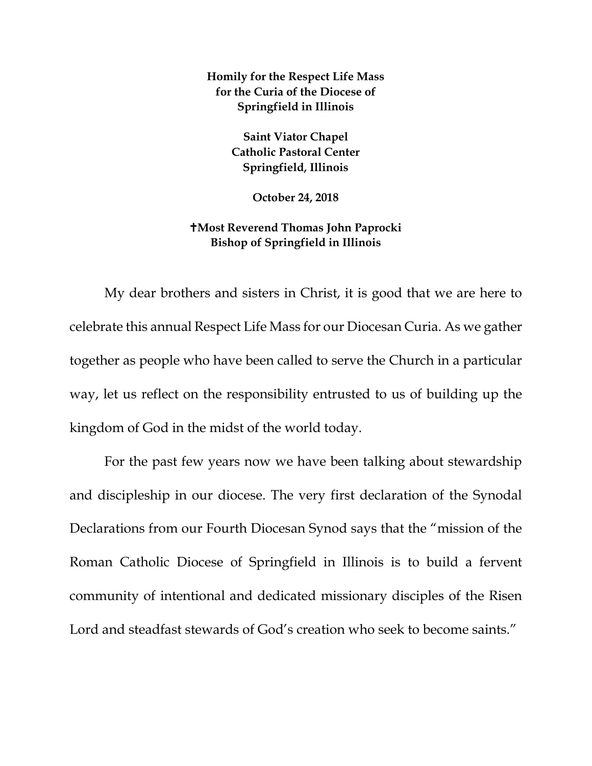**Homily for the Respect Life Mass for the Curia of the Diocese of Springfield in Illinois**

> **Saint Viator Chapel Catholic Pastoral Center Springfield, Illinois**

> > **October 24, 2018**

## **Most Reverend Thomas John Paprocki Bishop of Springfield in Illinois**

My dear brothers and sisters in Christ, it is good that we are here to celebrate this annual Respect Life Mass for our Diocesan Curia. As we gather together as people who have been called to serve the Church in a particular way, let us reflect on the responsibility entrusted to us of building up the kingdom of God in the midst of the world today.

For the past few years now we have been talking about stewardship and discipleship in our diocese. The very first declaration of the Synodal Declarations from our Fourth Diocesan Synod says that the "mission of the Roman Catholic Diocese of Springfield in Illinois is to build a fervent community of intentional and dedicated missionary disciples of the Risen Lord and steadfast stewards of God's creation who seek to become saints."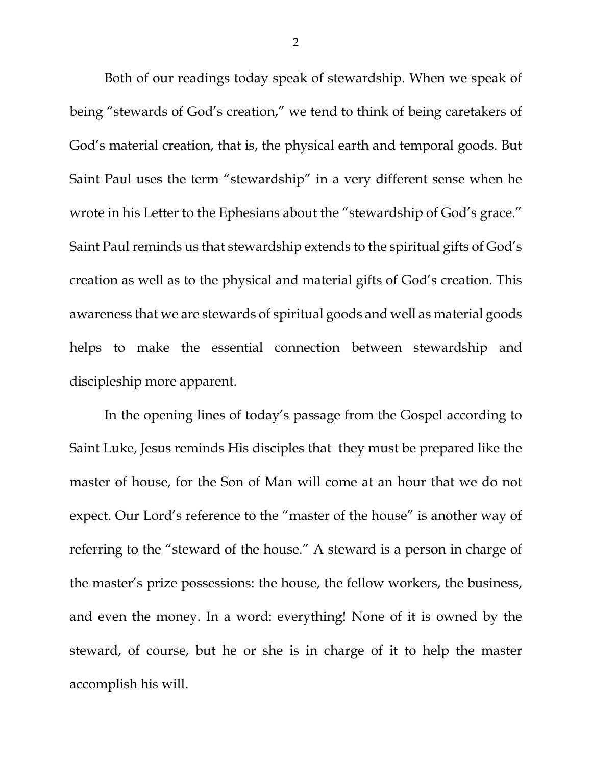Both of our readings today speak of stewardship. When we speak of being "stewards of God's creation," we tend to think of being caretakers of God's material creation, that is, the physical earth and temporal goods. But Saint Paul uses the term "stewardship" in a very different sense when he wrote in his Letter to the Ephesians about the "stewardship of God's grace." Saint Paul reminds us that stewardship extends to the spiritual gifts of God's creation as well as to the physical and material gifts of God's creation. This awareness that we are stewards of spiritual goods and well as material goods helps to make the essential connection between stewardship and discipleship more apparent.

In the opening lines of today's passage from the Gospel according to Saint Luke, Jesus reminds His disciples that they must be prepared like the master of house, for the Son of Man will come at an hour that we do not expect. Our Lord's reference to the "master of the house" is another way of referring to the "steward of the house." A steward is a person in charge of the master's prize possessions: the house, the fellow workers, the business, and even the money. In a word: everything! None of it is owned by the steward, of course, but he or she is in charge of it to help the master accomplish his will.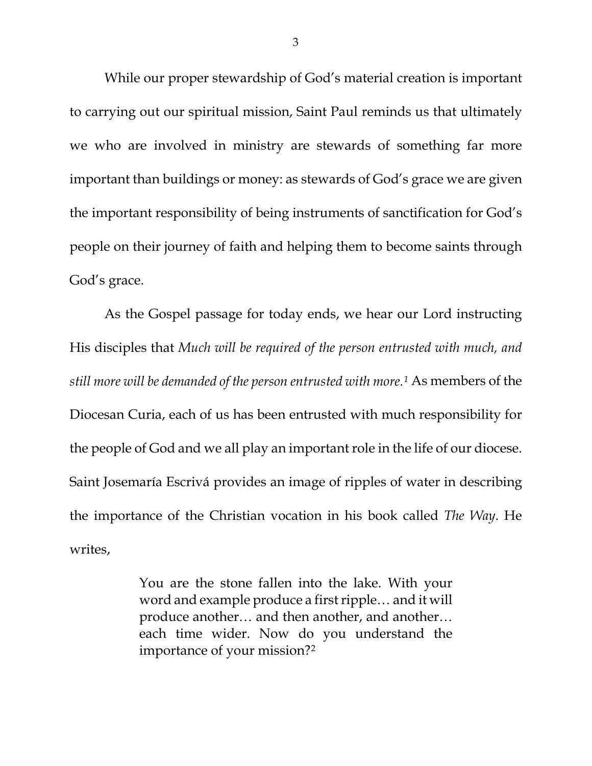While our proper stewardship of God's material creation is important to carrying out our spiritual mission, Saint Paul reminds us that ultimately we who are involved in ministry are stewards of something far more important than buildings or money: as stewards of God's grace we are given the important responsibility of being instruments of sanctification for God's people on their journey of faith and helping them to become saints through God's grace.

As the Gospel passage for today ends, we hear our Lord instructing His disciples that *Much will be required of the person entrusted with much, and still more will be demanded of the person entrusted with more.[1](#page-3-0)* As members of the Diocesan Curia, each of us has been entrusted with much responsibility for the people of God and we all play an important role in the life of our diocese. Saint Josemaría Escrivá provides an image of ripples of water in describing the importance of the Christian vocation in his book called *The Way*. He writes,

> You are the stone fallen into the lake. With your word and example produce a first ripple… and it will produce another… and then another, and another… each time wider. Now do you understand the importance of your mission?[2](#page-3-1)

3